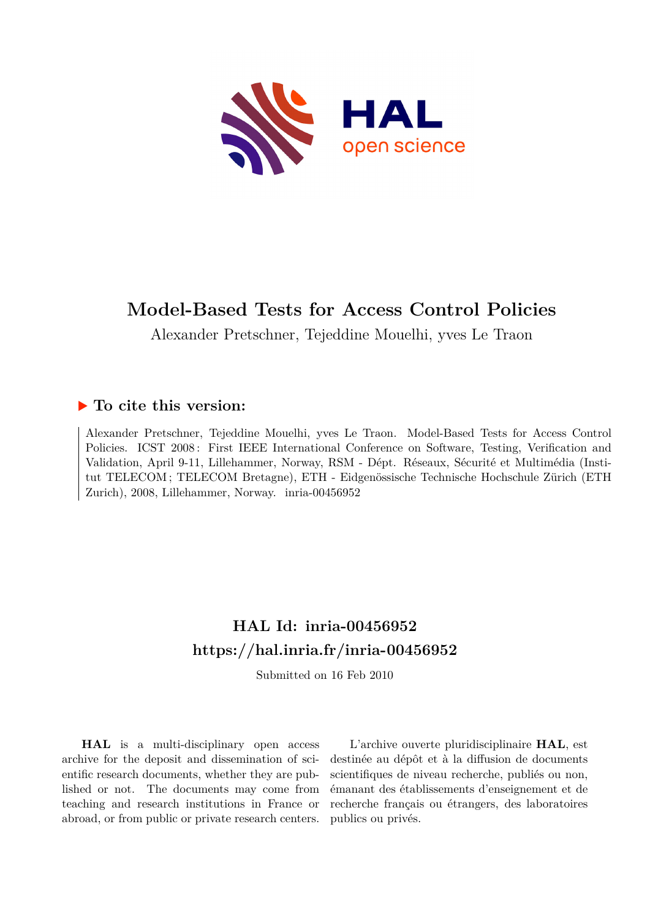

# **Model-Based Tests for Access Control Policies**

Alexander Pretschner, Tejeddine Mouelhi, yves Le Traon

# **To cite this version:**

Alexander Pretschner, Tejeddine Mouelhi, yves Le Traon. Model-Based Tests for Access Control Policies. ICST 2008: First IEEE International Conference on Software, Testing, Verification and Validation, April 9-11, Lillehammer, Norway, RSM - Dépt. Réseaux, Sécurité et Multimédia (Institut TELECOM ; TELECOM Bretagne), ETH - Eidgenössische Technische Hochschule Zürich (ETH Zurich), 2008, Lillehammer, Norway. inria-00456952

# **HAL Id: inria-00456952 <https://hal.inria.fr/inria-00456952>**

Submitted on 16 Feb 2010

**HAL** is a multi-disciplinary open access archive for the deposit and dissemination of scientific research documents, whether they are published or not. The documents may come from teaching and research institutions in France or abroad, or from public or private research centers.

L'archive ouverte pluridisciplinaire **HAL**, est destinée au dépôt et à la diffusion de documents scientifiques de niveau recherche, publiés ou non, émanant des établissements d'enseignement et de recherche français ou étrangers, des laboratoires publics ou privés.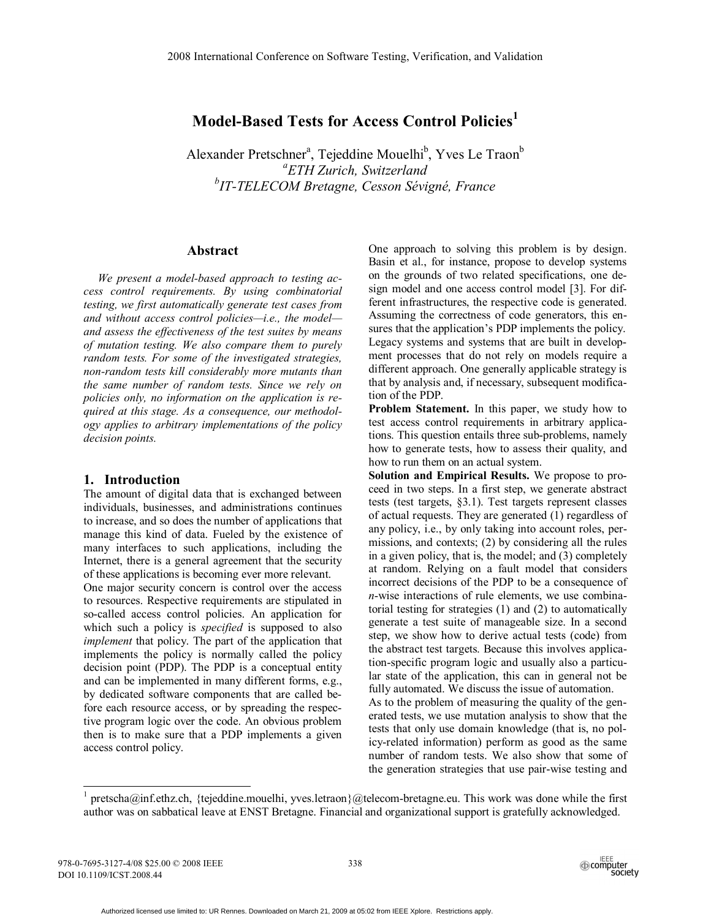# **Model-Based Tests for Access Control Policies<sup>1</sup>**

Alexander Pretschner<sup>a</sup>, Tejeddine Mouelhi<sup>b</sup>, Yves Le Traon<sup>b</sup> *a ETH Zurich, Switzerland b IT-TELECOM Bretagne, Cesson Sévigné, France* 

# **Abstract**

*We present a model-based approach to testing access control requirements. By using combinatorial testing, we first automatically generate test cases from and without access control policies—i.e., the model and assess the effectiveness of the test suites by means of mutation testing. We also compare them to purely random tests. For some of the investigated strategies, non-random tests kill considerably more mutants than the same number of random tests. Since we rely on policies only, no information on the application is required at this stage. As a consequence, our methodology applies to arbitrary implementations of the policy decision points.* 

#### **1. Introduction**

The amount of digital data that is exchanged between individuals, businesses, and administrations continues to increase, and so does the number of applications that manage this kind of data. Fueled by the existence of many interfaces to such applications, including the Internet, there is a general agreement that the security of these applications is becoming ever more relevant.

One major security concern is control over the access to resources. Respective requirements are stipulated in so-called access control policies. An application for which such a policy is *specified* is supposed to also *implement* that policy. The part of the application that implements the policy is normally called the policy decision point (PDP). The PDP is a conceptual entity and can be implemented in many different forms, e.g., by dedicated software components that are called before each resource access, or by spreading the respective program logic over the code. An obvious problem then is to make sure that a PDP implements a given access control policy.

One approach to solving this problem is by design. Basin et al., for instance, propose to develop systems on the grounds of two related specifications, one design model and one access control model [3]. For different infrastructures, the respective code is generated. Assuming the correctness of code generators, this ensures that the application's PDP implements the policy. Legacy systems and systems that are built in development processes that do not rely on models require a different approach. One generally applicable strategy is that by analysis and, if necessary, subsequent modification of the PDP.

**Problem Statement.** In this paper, we study how to test access control requirements in arbitrary applications. This question entails three sub-problems, namely how to generate tests, how to assess their quality, and how to run them on an actual system.

**Solution and Empirical Results.** We propose to proceed in two steps. In a first step, we generate abstract tests (test targets, §3.1). Test targets represent classes of actual requests. They are generated (1) regardless of any policy, i.e., by only taking into account roles, permissions, and contexts; (2) by considering all the rules in a given policy, that is, the model; and (3) completely at random. Relying on a fault model that considers incorrect decisions of the PDP to be a consequence of *n*-wise interactions of rule elements, we use combinatorial testing for strategies (1) and (2) to automatically generate a test suite of manageable size. In a second step, we show how to derive actual tests (code) from the abstract test targets. Because this involves application-specific program logic and usually also a particular state of the application, this can in general not be fully automated. We discuss the issue of automation. As to the problem of measuring the quality of the generated tests, we use mutation analysis to show that the

tests that only use domain knowledge (that is, no policy-related information) perform as good as the same number of random tests. We also show that some of the generation strategies that use pair-wise testing and

 $\overline{\phantom{a}}$ 

<sup>1</sup> pretscha@inf.ethz.ch, {tejeddine.mouelhi, yves.letraon}@telecom-bretagne.eu. This work was done while the first author was on sabbatical leave at ENST Bretagne. Financial and organizational support is gratefully acknowledged.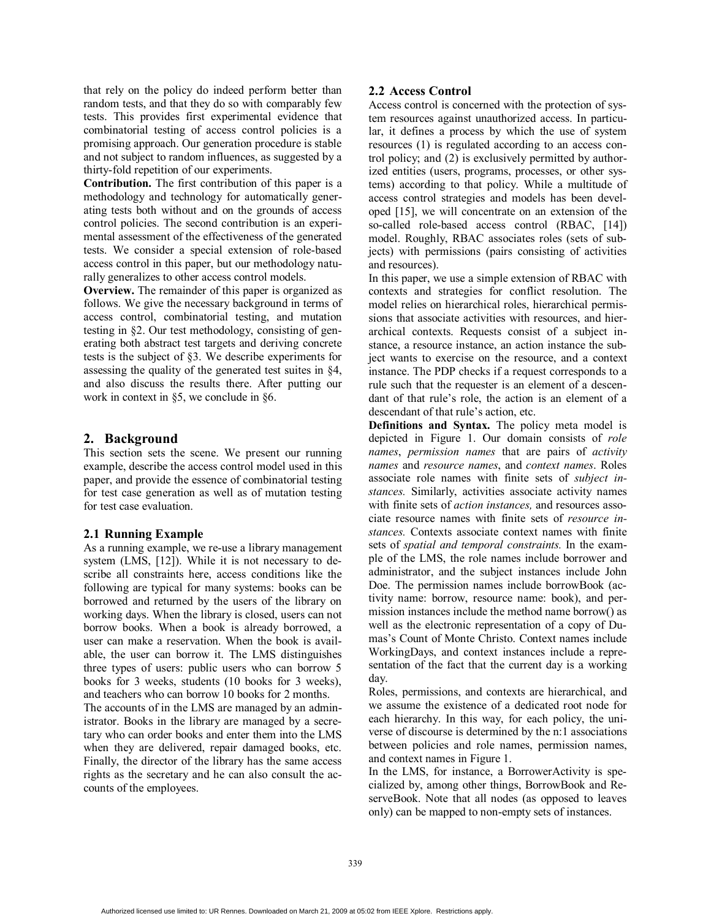that rely on the policy do indeed perform better than random tests, and that they do so with comparably few tests. This provides first experimental evidence that combinatorial testing of access control policies is a promising approach. Our generation procedure is stable and not subject to random influences, as suggested by a thirty-fold repetition of our experiments.

**Contribution.** The first contribution of this paper is a methodology and technology for automatically generating tests both without and on the grounds of access control policies. The second contribution is an experimental assessment of the effectiveness of the generated tests. We consider a special extension of role-based access control in this paper, but our methodology naturally generalizes to other access control models.

**Overview.** The remainder of this paper is organized as follows. We give the necessary background in terms of access control, combinatorial testing, and mutation testing in §2. Our test methodology, consisting of generating both abstract test targets and deriving concrete tests is the subject of §3. We describe experiments for assessing the quality of the generated test suites in §4, and also discuss the results there. After putting our work in context in §5, we conclude in §6.

# **2. Background**

This section sets the scene. We present our running example, describe the access control model used in this paper, and provide the essence of combinatorial testing for test case generation as well as of mutation testing for test case evaluation.

#### **2.1 Running Example**

As a running example, we re-use a library management system (LMS, [12]). While it is not necessary to describe all constraints here, access conditions like the following are typical for many systems: books can be borrowed and returned by the users of the library on working days. When the library is closed, users can not borrow books. When a book is already borrowed, a user can make a reservation. When the book is available, the user can borrow it. The LMS distinguishes three types of users: public users who can borrow 5 books for 3 weeks, students (10 books for 3 weeks), and teachers who can borrow 10 books for 2 months.

The accounts of in the LMS are managed by an administrator. Books in the library are managed by a secretary who can order books and enter them into the LMS when they are delivered, repair damaged books, etc. Finally, the director of the library has the same access rights as the secretary and he can also consult the accounts of the employees.

### **2.2 Access Control**

Access control is concerned with the protection of system resources against unauthorized access. In particular, it defines a process by which the use of system resources (1) is regulated according to an access control policy; and (2) is exclusively permitted by authorized entities (users, programs, processes, or other systems) according to that policy. While a multitude of access control strategies and models has been developed [15], we will concentrate on an extension of the so-called role-based access control (RBAC, [14]) model. Roughly, RBAC associates roles (sets of subjects) with permissions (pairs consisting of activities and resources).

In this paper, we use a simple extension of RBAC with contexts and strategies for conflict resolution. The model relies on hierarchical roles, hierarchical permissions that associate activities with resources, and hierarchical contexts. Requests consist of a subject instance, a resource instance, an action instance the subject wants to exercise on the resource, and a context instance. The PDP checks if a request corresponds to a rule such that the requester is an element of a descendant of that rule's role, the action is an element of a descendant of that rule's action, etc.

**Definitions and Syntax.** The policy meta model is depicted in Figure 1. Our domain consists of *role names*, *permission names* that are pairs of *activity names* and *resource names*, and *context names*. Roles associate role names with finite sets of *subject instances.* Similarly, activities associate activity names with finite sets of *action instances,* and resources associate resource names with finite sets of *resource instances.* Contexts associate context names with finite sets of *spatial and temporal constraints.* In the example of the LMS, the role names include borrower and administrator, and the subject instances include John Doe. The permission names include borrowBook (activity name: borrow, resource name: book), and permission instances include the method name borrow() as well as the electronic representation of a copy of Dumas's Count of Monte Christo. Context names include WorkingDays, and context instances include a representation of the fact that the current day is a working day.

Roles, permissions, and contexts are hierarchical, and we assume the existence of a dedicated root node for each hierarchy. In this way, for each policy, the universe of discourse is determined by the n:1 associations between policies and role names, permission names, and context names in Figure 1.

In the LMS, for instance, a BorrowerActivity is specialized by, among other things, BorrowBook and ReserveBook. Note that all nodes (as opposed to leaves only) can be mapped to non-empty sets of instances.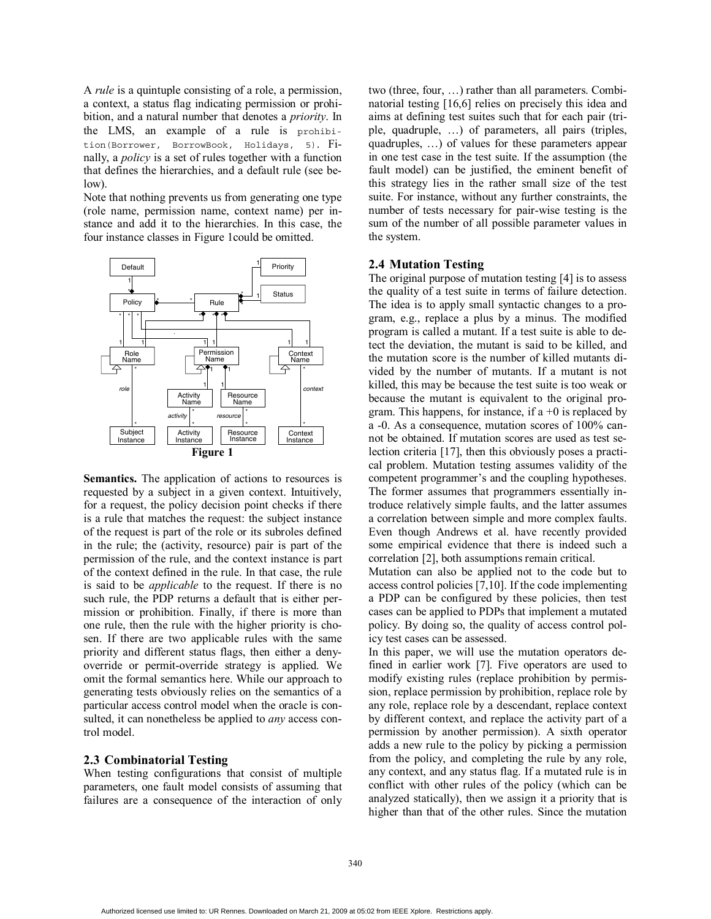A *rule* is a quintuple consisting of a role, a permission, a context, a status flag indicating permission or prohibition, and a natural number that denotes a *priority*. In the LMS, an example of a rule is prohibition(Borrower, BorrowBook, Holidays, 5). Finally, a *policy* is a set of rules together with a function that defines the hierarchies, and a default rule (see below).

Note that nothing prevents us from generating one type (role name, permission name, context name) per instance and add it to the hierarchies. In this case, the four instance classes in Figure 1could be omitted.



**Semantics.** The application of actions to resources is requested by a subject in a given context. Intuitively, for a request, the policy decision point checks if there is a rule that matches the request: the subject instance of the request is part of the role or its subroles defined in the rule; the (activity, resource) pair is part of the permission of the rule, and the context instance is part of the context defined in the rule. In that case, the rule is said to be *applicable* to the request. If there is no such rule, the PDP returns a default that is either permission or prohibition. Finally, if there is more than one rule, then the rule with the higher priority is chosen. If there are two applicable rules with the same priority and different status flags, then either a denyoverride or permit-override strategy is applied. We omit the formal semantics here. While our approach to generating tests obviously relies on the semantics of a particular access control model when the oracle is consulted, it can nonetheless be applied to *any* access control model.

#### **2.3 Combinatorial Testing**

When testing configurations that consist of multiple parameters, one fault model consists of assuming that failures are a consequence of the interaction of only

two (three, four, …) rather than all parameters. Combinatorial testing [16,6] relies on precisely this idea and aims at defining test suites such that for each pair (triple, quadruple, …) of parameters, all pairs (triples, quadruples, …) of values for these parameters appear in one test case in the test suite. If the assumption (the fault model) can be justified, the eminent benefit of this strategy lies in the rather small size of the test suite. For instance, without any further constraints, the number of tests necessary for pair-wise testing is the sum of the number of all possible parameter values in the system.

#### **2.4 Mutation Testing**

The original purpose of mutation testing [4] is to assess the quality of a test suite in terms of failure detection. The idea is to apply small syntactic changes to a program, e.g., replace a plus by a minus. The modified program is called a mutant. If a test suite is able to detect the deviation, the mutant is said to be killed, and the mutation score is the number of killed mutants divided by the number of mutants. If a mutant is not killed, this may be because the test suite is too weak or because the mutant is equivalent to the original program. This happens, for instance, if  $a + 0$  is replaced by a -0. As a consequence, mutation scores of 100% cannot be obtained. If mutation scores are used as test selection criteria [17], then this obviously poses a practical problem. Mutation testing assumes validity of the competent programmer's and the coupling hypotheses. The former assumes that programmers essentially introduce relatively simple faults, and the latter assumes a correlation between simple and more complex faults. Even though Andrews et al. have recently provided some empirical evidence that there is indeed such a correlation [2], both assumptions remain critical.

Mutation can also be applied not to the code but to access control policies [7,10]. If the code implementing a PDP can be configured by these policies, then test cases can be applied to PDPs that implement a mutated policy. By doing so, the quality of access control policy test cases can be assessed.

In this paper, we will use the mutation operators defined in earlier work [7]. Five operators are used to modify existing rules (replace prohibition by permission, replace permission by prohibition, replace role by any role, replace role by a descendant, replace context by different context, and replace the activity part of a permission by another permission). A sixth operator adds a new rule to the policy by picking a permission from the policy, and completing the rule by any role, any context, and any status flag. If a mutated rule is in conflict with other rules of the policy (which can be analyzed statically), then we assign it a priority that is higher than that of the other rules. Since the mutation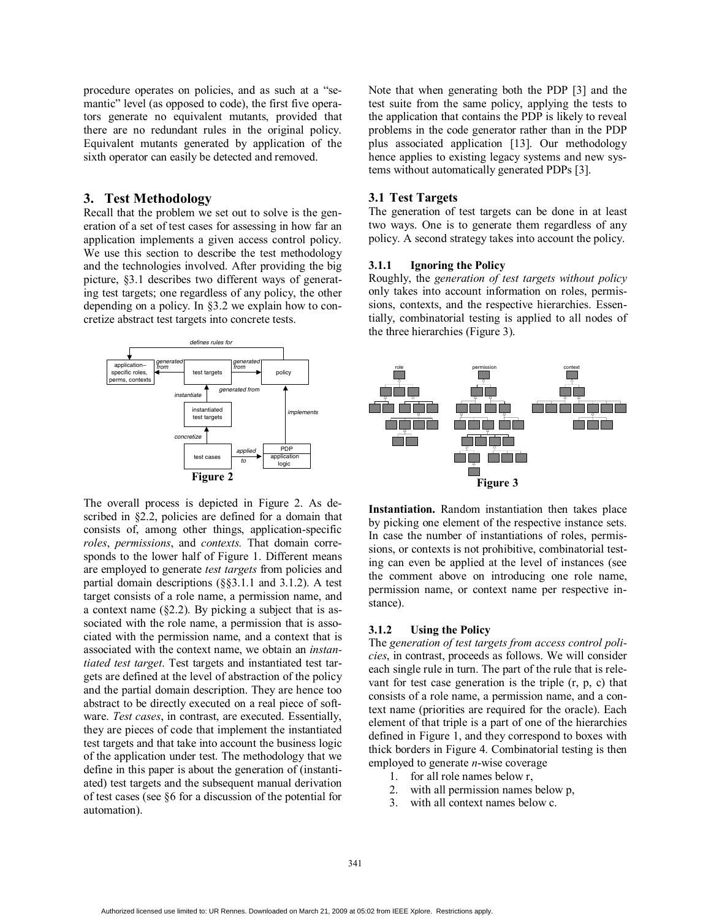procedure operates on policies, and as such at a "semantic" level (as opposed to code), the first five operators generate no equivalent mutants, provided that there are no redundant rules in the original policy. Equivalent mutants generated by application of the sixth operator can easily be detected and removed.

# **3. Test Methodology**

Recall that the problem we set out to solve is the generation of a set of test cases for assessing in how far an application implements a given access control policy. We use this section to describe the test methodology and the technologies involved. After providing the big picture, §3.1 describes two different ways of generating test targets; one regardless of any policy, the other depending on a policy. In §3.2 we explain how to concretize abstract test targets into concrete tests.



The overall process is depicted in Figure 2. As described in §2.2, policies are defined for a domain that consists of, among other things, application-specific *roles*, *permissions*, and *contexts.* That domain corresponds to the lower half of Figure 1. Different means are employed to generate *test targets* from policies and partial domain descriptions (§§3.1.1 and 3.1.2). A test target consists of a role name, a permission name, and a context name (§2.2). By picking a subject that is associated with the role name, a permission that is associated with the permission name, and a context that is associated with the context name, we obtain an *instantiated test target*. Test targets and instantiated test targets are defined at the level of abstraction of the policy and the partial domain description. They are hence too abstract to be directly executed on a real piece of software. *Test cases*, in contrast, are executed. Essentially, they are pieces of code that implement the instantiated test targets and that take into account the business logic of the application under test. The methodology that we define in this paper is about the generation of (instantiated) test targets and the subsequent manual derivation of test cases (see §6 for a discussion of the potential for automation).

Note that when generating both the PDP [3] and the test suite from the same policy, applying the tests to the application that contains the PDP is likely to reveal problems in the code generator rather than in the PDP plus associated application [13]. Our methodology hence applies to existing legacy systems and new systems without automatically generated PDPs [3].

#### **3.1 Test Targets**

The generation of test targets can be done in at least two ways. One is to generate them regardless of any policy. A second strategy takes into account the policy.

#### **3.1.1 Ignoring the Policy**

Roughly, the *generation of test targets without policy* only takes into account information on roles, permissions, contexts, and the respective hierarchies. Essentially, combinatorial testing is applied to all nodes of the three hierarchies (Figure 3).



**Instantiation.** Random instantiation then takes place by picking one element of the respective instance sets. In case the number of instantiations of roles, permissions, or contexts is not prohibitive, combinatorial testing can even be applied at the level of instances (see the comment above on introducing one role name, permission name, or context name per respective instance).

#### **3.1.2 Using the Policy**

The *generation of test targets from access control policies*, in contrast, proceeds as follows. We will consider each single rule in turn. The part of the rule that is relevant for test case generation is the triple (r, p, c) that consists of a role name, a permission name, and a context name (priorities are required for the oracle). Each element of that triple is a part of one of the hierarchies defined in Figure 1, and they correspond to boxes with thick borders in Figure 4. Combinatorial testing is then employed to generate *n*-wise coverage

- 1. for all role names below r,
- 2. with all permission names below p,
- 3. with all context names below c.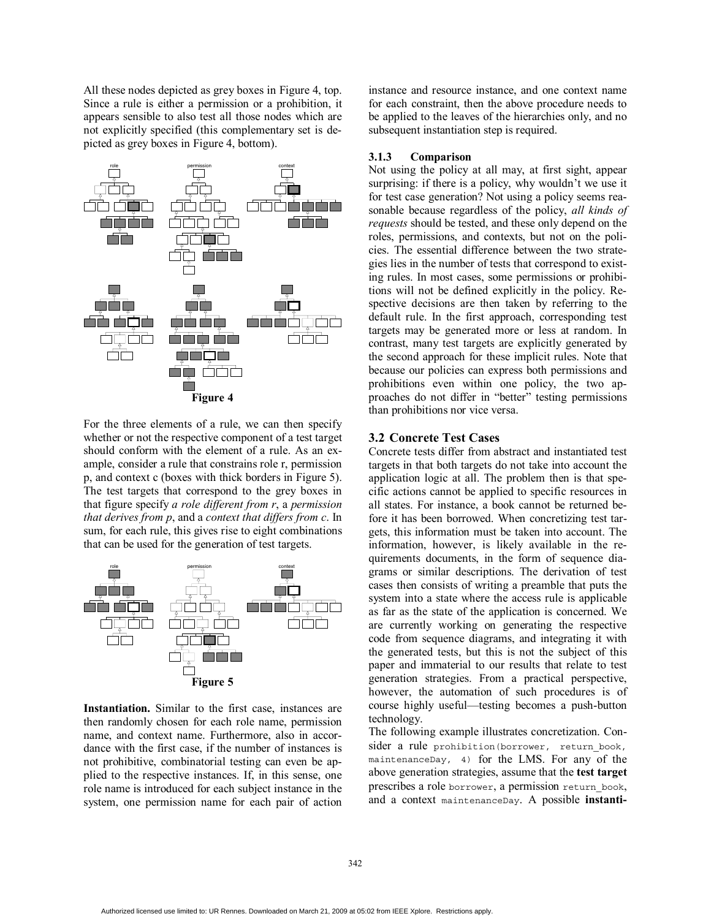All these nodes depicted as grey boxes in Figure 4, top. Since a rule is either a permission or a prohibition, it appears sensible to also test all those nodes which are not explicitly specified (this complementary set is depicted as grey boxes in Figure 4, bottom).



For the three elements of a rule, we can then specify whether or not the respective component of a test target should conform with the element of a rule. As an example, consider a rule that constrains role r, permission p, and context c (boxes with thick borders in Figure 5). The test targets that correspond to the grey boxes in that figure specify *a role different from r*, a *permission that derives from p*, and a *context that differs from c*. In sum, for each rule, this gives rise to eight combinations that can be used for the generation of test targets.



**Instantiation.** Similar to the first case, instances are then randomly chosen for each role name, permission name, and context name. Furthermore, also in accordance with the first case, if the number of instances is not prohibitive, combinatorial testing can even be applied to the respective instances. If, in this sense, one role name is introduced for each subject instance in the system, one permission name for each pair of action

instance and resource instance, and one context name for each constraint, then the above procedure needs to be applied to the leaves of the hierarchies only, and no subsequent instantiation step is required.

#### **3.1.3 Comparison**

Not using the policy at all may, at first sight, appear surprising: if there is a policy, why wouldn't we use it for test case generation? Not using a policy seems reasonable because regardless of the policy, *all kinds of requests* should be tested, and these only depend on the roles, permissions, and contexts, but not on the policies. The essential difference between the two strategies lies in the number of tests that correspond to existing rules. In most cases, some permissions or prohibitions will not be defined explicitly in the policy. Respective decisions are then taken by referring to the default rule. In the first approach, corresponding test targets may be generated more or less at random. In contrast, many test targets are explicitly generated by the second approach for these implicit rules. Note that because our policies can express both permissions and prohibitions even within one policy, the two approaches do not differ in "better" testing permissions than prohibitions nor vice versa.

#### **3.2 Concrete Test Cases**

Concrete tests differ from abstract and instantiated test targets in that both targets do not take into account the application logic at all. The problem then is that specific actions cannot be applied to specific resources in all states. For instance, a book cannot be returned before it has been borrowed. When concretizing test targets, this information must be taken into account. The information, however, is likely available in the requirements documents, in the form of sequence diagrams or similar descriptions. The derivation of test cases then consists of writing a preamble that puts the system into a state where the access rule is applicable as far as the state of the application is concerned. We are currently working on generating the respective code from sequence diagrams, and integrating it with the generated tests, but this is not the subject of this paper and immaterial to our results that relate to test generation strategies. From a practical perspective, however, the automation of such procedures is of course highly useful—testing becomes a push-button technology.

The following example illustrates concretization. Consider a rule prohibition(borrower, return book, maintenanceDay, 4) for the LMS. For any of the above generation strategies, assume that the **test target** prescribes a role borrower, a permission return\_book, and a context maintenanceDay. A possible **instanti-**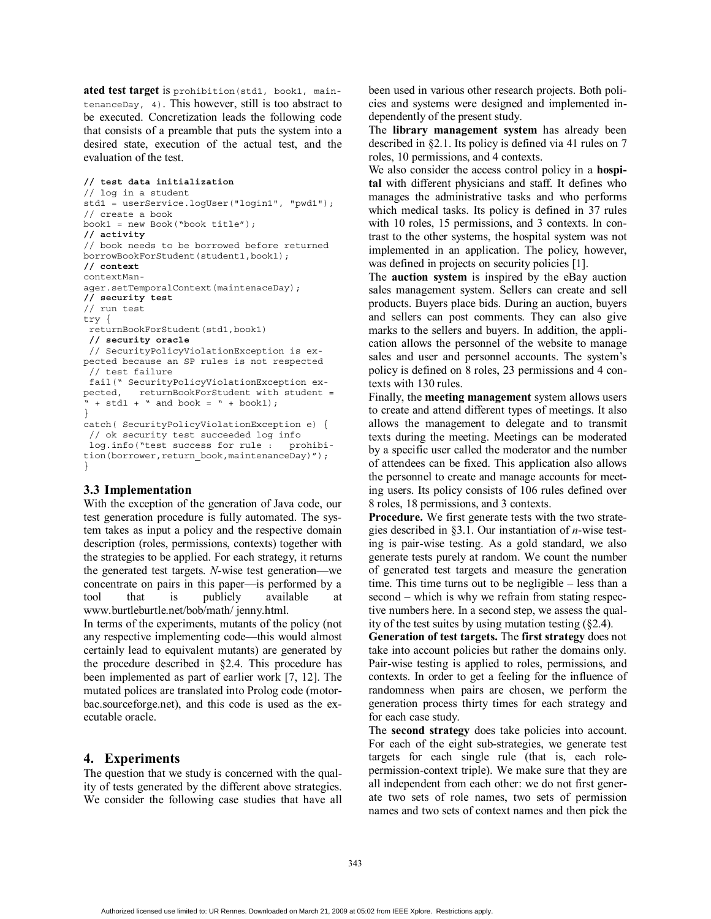**ated test target** is prohibition(std1, book1, maintenanceDay, 4). This however, still is too abstract to be executed. Concretization leads the following code that consists of a preamble that puts the system into a desired state, execution of the actual test, and the evaluation of the test.

#### **// test data initialization**

```
// log in a student 
std1 = userService.logUser("login1", "pwd1"); 
// create a book 
book1 = new Book("book title");
// activity 
// book needs to be borrowed before returned 
borrowBookForStudent(student1,book1); 
// context 
contextMan-
ager.setTemporalContext(maintenaceDay); 
// security test 
// run test 
try { 
 returnBookForStudent(std1,book1) 
 // security oracle 
 // SecurityPolicyViolationException is ex-
pected because an SP rules is not respected 
  // test failure 
 fail(" SecurityPolicyViolationException ex-
pected, returnBookForStudent with student = 
" + std1 + " and book = " + book1);
} 
catch( SecurityPolicyViolationException e) { 
  // ok security test succeeded log info 
 log.info("test success for rule : prohibi-
tion(borrower, return book, maintenanceDay)");
}
```
#### **3.3 Implementation**

With the exception of the generation of Java code, our test generation procedure is fully automated. The system takes as input a policy and the respective domain description (roles, permissions, contexts) together with the strategies to be applied. For each strategy, it returns the generated test targets. *N*-wise test generation—we concentrate on pairs in this paper—is performed by a tool that is publicly available at www.burtleburtle.net/bob/math/ jenny.html.

In terms of the experiments, mutants of the policy (not any respective implementing code—this would almost certainly lead to equivalent mutants) are generated by the procedure described in §2.4. This procedure has been implemented as part of earlier work [7, 12]. The mutated polices are translated into Prolog code (motorbac.sourceforge.net), and this code is used as the executable oracle.

## **4. Experiments**

The question that we study is concerned with the quality of tests generated by the different above strategies. We consider the following case studies that have all

been used in various other research projects. Both policies and systems were designed and implemented independently of the present study.

The **library management system** has already been described in §2.1. Its policy is defined via 41 rules on 7 roles, 10 permissions, and 4 contexts.

We also consider the access control policy in a **hospital** with different physicians and staff. It defines who manages the administrative tasks and who performs which medical tasks. Its policy is defined in 37 rules with 10 roles, 15 permissions, and 3 contexts. In contrast to the other systems, the hospital system was not implemented in an application. The policy, however, was defined in projects on security policies [1].

The **auction system** is inspired by the eBay auction sales management system. Sellers can create and sell products. Buyers place bids. During an auction, buyers and sellers can post comments. They can also give marks to the sellers and buyers. In addition, the application allows the personnel of the website to manage sales and user and personnel accounts. The system's policy is defined on 8 roles, 23 permissions and 4 contexts with 130 rules.

Finally, the **meeting management** system allows users to create and attend different types of meetings. It also allows the management to delegate and to transmit texts during the meeting. Meetings can be moderated by a specific user called the moderator and the number of attendees can be fixed. This application also allows the personnel to create and manage accounts for meeting users. Its policy consists of 106 rules defined over 8 roles, 18 permissions, and 3 contexts.

**Procedure.** We first generate tests with the two strategies described in §3.1. Our instantiation of *n*-wise testing is pair-wise testing. As a gold standard, we also generate tests purely at random. We count the number of generated test targets and measure the generation time. This time turns out to be negligible – less than a second – which is why we refrain from stating respective numbers here. In a second step, we assess the quality of the test suites by using mutation testing (§2.4).

**Generation of test targets.** The **first strategy** does not take into account policies but rather the domains only. Pair-wise testing is applied to roles, permissions, and contexts. In order to get a feeling for the influence of randomness when pairs are chosen, we perform the generation process thirty times for each strategy and for each case study.

The **second strategy** does take policies into account. For each of the eight sub-strategies, we generate test targets for each single rule (that is, each rolepermission-context triple). We make sure that they are all independent from each other: we do not first generate two sets of role names, two sets of permission names and two sets of context names and then pick the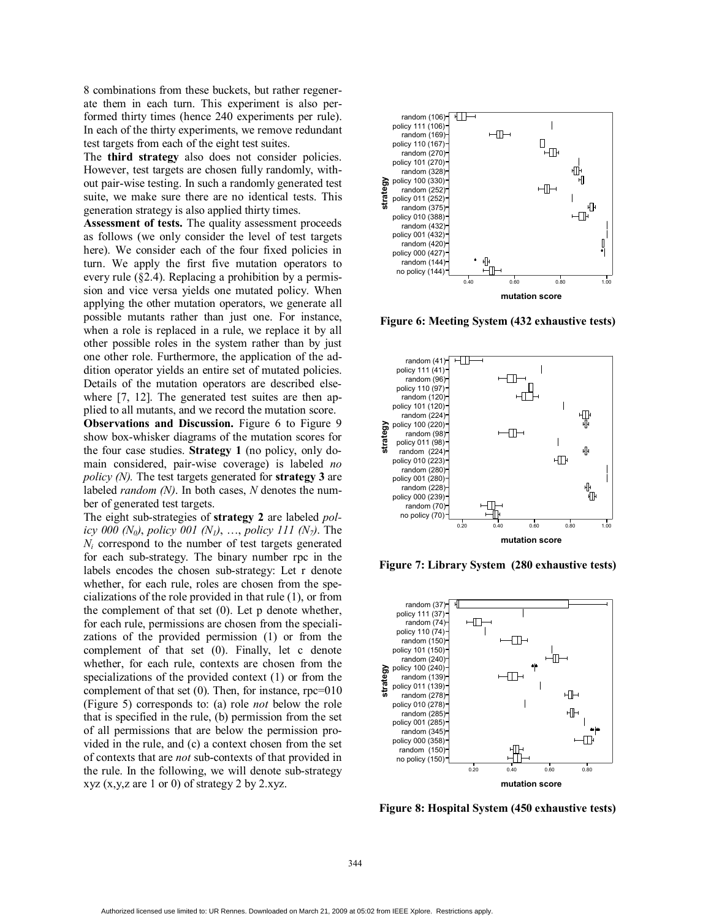8 combinations from these buckets, but rather regenerate them in each turn. This experiment is also performed thirty times (hence 240 experiments per rule). In each of the thirty experiments, we remove redundant test targets from each of the eight test suites.

The **third strategy** also does not consider policies. However, test targets are chosen fully randomly, without pair-wise testing. In such a randomly generated test suite, we make sure there are no identical tests. This generation strategy is also applied thirty times.

**Assessment of tests.** The quality assessment proceeds as follows (we only consider the level of test targets here). We consider each of the four fixed policies in turn. We apply the first five mutation operators to every rule (§2.4). Replacing a prohibition by a permission and vice versa yields one mutated policy. When applying the other mutation operators, we generate all possible mutants rather than just one. For instance, when a role is replaced in a rule, we replace it by all other possible roles in the system rather than by just one other role. Furthermore, the application of the addition operator yields an entire set of mutated policies. Details of the mutation operators are described elsewhere [7, 12]. The generated test suites are then applied to all mutants, and we record the mutation score.

**Observations and Discussion.** Figure 6 to Figure 9 show box-whisker diagrams of the mutation scores for the four case studies. **Strategy 1** (no policy, only domain considered, pair-wise coverage) is labeled *no policy (N).* The test targets generated for **strategy 3** are labeled *random (N)*. In both cases, *N* denotes the number of generated test targets.

The eight sub-strategies of **strategy 2** are labeled *policy 000 (N0)*, *policy 001 (N1)*, …, *policy 111 (N7)*. The *Ni* correspond to the number of test targets generated for each sub-strategy. The binary number rpc in the labels encodes the chosen sub-strategy: Let r denote whether, for each rule, roles are chosen from the specializations of the role provided in that rule (1), or from the complement of that set (0). Let p denote whether, for each rule, permissions are chosen from the specializations of the provided permission (1) or from the complement of that set (0). Finally, let c denote whether, for each rule, contexts are chosen from the specializations of the provided context (1) or from the complement of that set (0). Then, for instance, rpc=010 (Figure 5) corresponds to: (a) role *not* below the role that is specified in the rule, (b) permission from the set of all permissions that are below the permission provided in the rule, and (c) a context chosen from the set of contexts that are *not* sub-contexts of that provided in the rule. In the following, we will denote sub-strategy xyz  $(x,y,z \text{ are } 1 \text{ or } 0)$  of strategy 2 by 2.xyz.



**Figure 6: Meeting System (432 exhaustive tests)** 



**Figure 7: Library System (280 exhaustive tests)** 



**Figure 8: Hospital System (450 exhaustive tests)**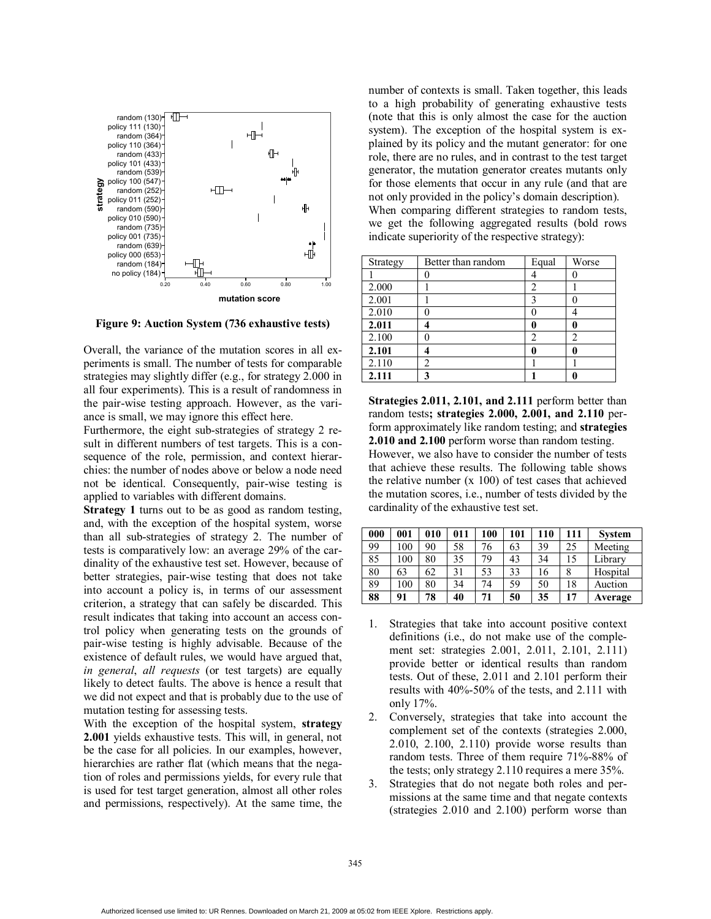

**Figure 9: Auction System (736 exhaustive tests)** 

Overall, the variance of the mutation scores in all experiments is small. The number of tests for comparable strategies may slightly differ (e.g., for strategy 2.000 in all four experiments). This is a result of randomness in the pair-wise testing approach. However, as the variance is small, we may ignore this effect here.

Furthermore, the eight sub-strategies of strategy 2 result in different numbers of test targets. This is a consequence of the role, permission, and context hierarchies: the number of nodes above or below a node need not be identical. Consequently, pair-wise testing is applied to variables with different domains.

**Strategy 1** turns out to be as good as random testing, and, with the exception of the hospital system, worse than all sub-strategies of strategy 2. The number of tests is comparatively low: an average 29% of the cardinality of the exhaustive test set. However, because of better strategies, pair-wise testing that does not take into account a policy is, in terms of our assessment criterion, a strategy that can safely be discarded. This result indicates that taking into account an access control policy when generating tests on the grounds of pair-wise testing is highly advisable. Because of the existence of default rules, we would have argued that, *in general*, *all requests* (or test targets) are equally likely to detect faults. The above is hence a result that we did not expect and that is probably due to the use of mutation testing for assessing tests.

With the exception of the hospital system, **strategy 2.001** yields exhaustive tests. This will, in general, not be the case for all policies. In our examples, however, hierarchies are rather flat (which means that the negation of roles and permissions yields, for every rule that is used for test target generation, almost all other roles and permissions, respectively). At the same time, the number of contexts is small. Taken together, this leads to a high probability of generating exhaustive tests (note that this is only almost the case for the auction system). The exception of the hospital system is explained by its policy and the mutant generator: for one role, there are no rules, and in contrast to the test target generator, the mutation generator creates mutants only for those elements that occur in any rule (and that are not only provided in the policy's domain description). When comparing different strategies to random tests, we get the following aggregated results (bold rows indicate superiority of the respective strategy):

| Strategy | Better than random | Equal          | Worse          |
|----------|--------------------|----------------|----------------|
|          |                    |                |                |
| 2.000    |                    | 2              |                |
| 2.001    |                    | ₹              |                |
| 2.010    |                    |                |                |
| 2.011    |                    |                |                |
| 2.100    |                    | $\overline{c}$ | $\mathfrak{D}$ |
| 2.101    |                    |                |                |
| 2.110    |                    |                |                |
| 2.111    | 3                  |                |                |

**Strategies 2.011, 2.101, and 2.111** perform better than random tests**; strategies 2.000, 2.001, and 2.110** perform approximately like random testing; and **strategies 2.010 and 2.100** perform worse than random testing. However, we also have to consider the number of tests that achieve these results. The following table shows the relative number (x 100) of test cases that achieved the mutation scores, i.e., number of tests divided by the cardinality of the exhaustive test set.

| 000 | 001 | 010 | 011 | 100 | 101 | 110 | 111 | <b>System</b> |
|-----|-----|-----|-----|-----|-----|-----|-----|---------------|
| 99  | 100 | 90  | 58  | 76  | 63  | 39  | 25  | Meeting       |
| 85  | 100 | 80  | 35  | 79  | 43  | 34  | 15  | Library       |
| 80  | 63  | 62  | 31  | 53  | 33  | 16  |     | Hospital      |
| 89  | 100 | 80  | 34  | 74  | 59  | 50  | 18  | Auction       |
| 88  | 91  | 78  | 40  | 71  | 50  | 35  | 17  | Average       |

- 1. Strategies that take into account positive context definitions (i.e., do not make use of the complement set: strategies 2.001, 2.011, 2.101, 2.111) provide better or identical results than random tests. Out of these, 2.011 and 2.101 perform their results with 40%-50% of the tests, and 2.111 with only 17%.
- 2. Conversely, strategies that take into account the complement set of the contexts (strategies 2.000, 2.010, 2.100, 2.110) provide worse results than random tests. Three of them require 71%-88% of the tests; only strategy 2.110 requires a mere 35%.
- 3. Strategies that do not negate both roles and permissions at the same time and that negate contexts (strategies 2.010 and 2.100) perform worse than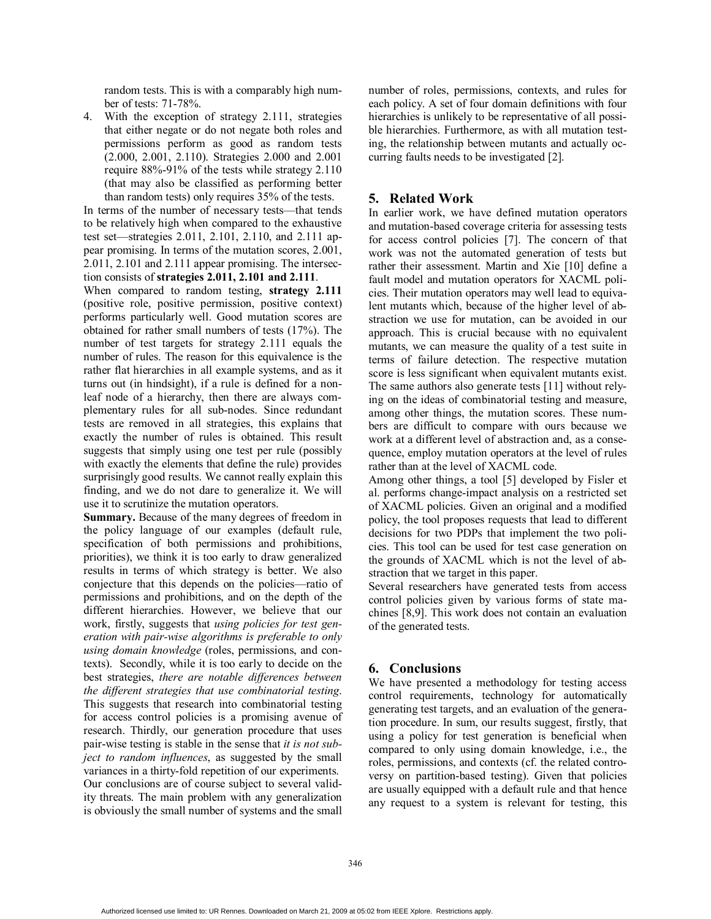random tests. This is with a comparably high number of tests: 71-78%.

4. With the exception of strategy 2.111, strategies that either negate or do not negate both roles and permissions perform as good as random tests (2.000, 2.001, 2.110). Strategies 2.000 and 2.001 require 88%-91% of the tests while strategy 2.110 (that may also be classified as performing better than random tests) only requires 35% of the tests.

In terms of the number of necessary tests—that tends to be relatively high when compared to the exhaustive test set—strategies 2.011, 2.101, 2.110, and 2.111 appear promising. In terms of the mutation scores, 2.001, 2.011, 2.101 and 2.111 appear promising. The intersection consists of **strategies 2.011, 2.101 and 2.111**.

When compared to random testing, **strategy 2.111** (positive role, positive permission, positive context) performs particularly well. Good mutation scores are obtained for rather small numbers of tests (17%). The number of test targets for strategy 2.111 equals the number of rules. The reason for this equivalence is the rather flat hierarchies in all example systems, and as it turns out (in hindsight), if a rule is defined for a nonleaf node of a hierarchy, then there are always complementary rules for all sub-nodes. Since redundant tests are removed in all strategies, this explains that exactly the number of rules is obtained. This result suggests that simply using one test per rule (possibly with exactly the elements that define the rule) provides surprisingly good results. We cannot really explain this finding, and we do not dare to generalize it. We will use it to scrutinize the mutation operators.

**Summary.** Because of the many degrees of freedom in the policy language of our examples (default rule, specification of both permissions and prohibitions, priorities), we think it is too early to draw generalized results in terms of which strategy is better. We also conjecture that this depends on the policies—ratio of permissions and prohibitions, and on the depth of the different hierarchies. However, we believe that our work, firstly, suggests that *using policies for test generation with pair-wise algorithms is preferable to only using domain knowledge* (roles, permissions, and contexts). Secondly, while it is too early to decide on the best strategies, *there are notable differences between the different strategies that use combinatorial testing*. This suggests that research into combinatorial testing for access control policies is a promising avenue of research. Thirdly, our generation procedure that uses pair-wise testing is stable in the sense that *it is not subject to random influences*, as suggested by the small variances in a thirty-fold repetition of our experiments. Our conclusions are of course subject to several validity threats. The main problem with any generalization is obviously the small number of systems and the small number of roles, permissions, contexts, and rules for each policy. A set of four domain definitions with four hierarchies is unlikely to be representative of all possible hierarchies. Furthermore, as with all mutation testing, the relationship between mutants and actually occurring faults needs to be investigated [2].

### **5. Related Work**

In earlier work, we have defined mutation operators and mutation-based coverage criteria for assessing tests for access control policies [7]. The concern of that work was not the automated generation of tests but rather their assessment. Martin and Xie [10] define a fault model and mutation operators for XACML policies. Their mutation operators may well lead to equivalent mutants which, because of the higher level of abstraction we use for mutation, can be avoided in our approach. This is crucial because with no equivalent mutants, we can measure the quality of a test suite in terms of failure detection. The respective mutation score is less significant when equivalent mutants exist. The same authors also generate tests [11] without relying on the ideas of combinatorial testing and measure, among other things, the mutation scores. These numbers are difficult to compare with ours because we work at a different level of abstraction and, as a consequence, employ mutation operators at the level of rules rather than at the level of XACML code.

Among other things, a tool [5] developed by Fisler et al. performs change-impact analysis on a restricted set of XACML policies. Given an original and a modified policy, the tool proposes requests that lead to different decisions for two PDPs that implement the two policies. This tool can be used for test case generation on the grounds of XACML which is not the level of abstraction that we target in this paper.

Several researchers have generated tests from access control policies given by various forms of state machines [8,9]. This work does not contain an evaluation of the generated tests.

#### **6. Conclusions**

We have presented a methodology for testing access control requirements, technology for automatically generating test targets, and an evaluation of the generation procedure. In sum, our results suggest, firstly, that using a policy for test generation is beneficial when compared to only using domain knowledge, i.e., the roles, permissions, and contexts (cf. the related controversy on partition-based testing). Given that policies are usually equipped with a default rule and that hence any request to a system is relevant for testing, this